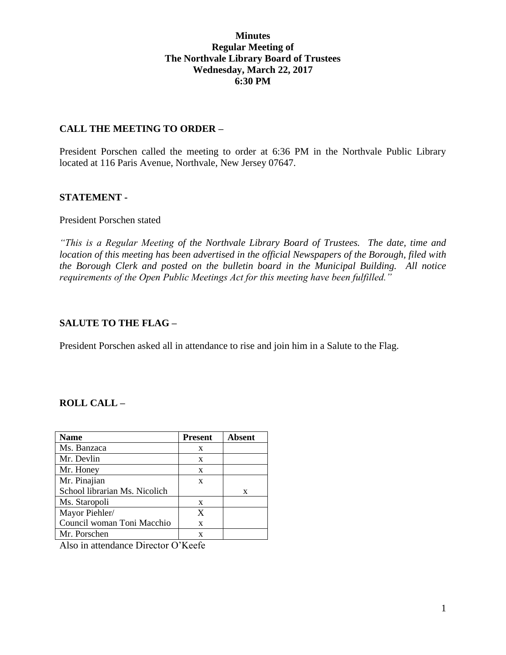#### **Minutes Regular Meeting of The Northvale Library Board of Trustees Wednesday, March 22, 2017 6:30 PM**

#### **CALL THE MEETING TO ORDER –**

President Porschen called the meeting to order at 6:36 PM in the Northvale Public Library located at 116 Paris Avenue, Northvale, New Jersey 07647.

#### **STATEMENT -**

#### President Porschen stated

*"This is a Regular Meeting of the Northvale Library Board of Trustees. The date, time and location of this meeting has been advertised in the official Newspapers of the Borough, filed with the Borough Clerk and posted on the bulletin board in the Municipal Building. All notice requirements of the Open Public Meetings Act for this meeting have been fulfilled."* 

## **SALUTE TO THE FLAG –**

President Porschen asked all in attendance to rise and join him in a Salute to the Flag.

## **ROLL CALL –**

| <b>Name</b>                                           | <b>Present</b> | <b>Absent</b> |
|-------------------------------------------------------|----------------|---------------|
| Ms. Banzaca                                           | X              |               |
| Mr. Devlin                                            | X              |               |
| Mr. Honey                                             | X              |               |
| Mr. Pinajian                                          | X              |               |
| School librarian Ms. Nicolich                         |                | X             |
| Ms. Staropoli                                         | X              |               |
| Mayor Piehler/                                        | X              |               |
| Council woman Toni Macchio                            | X              |               |
| Mr. Porschen                                          | X              |               |
| $\Lambda$ leo in attendance Director $\Lambda$ 'Keefe |                |               |

Also in attendance Director O'Keefe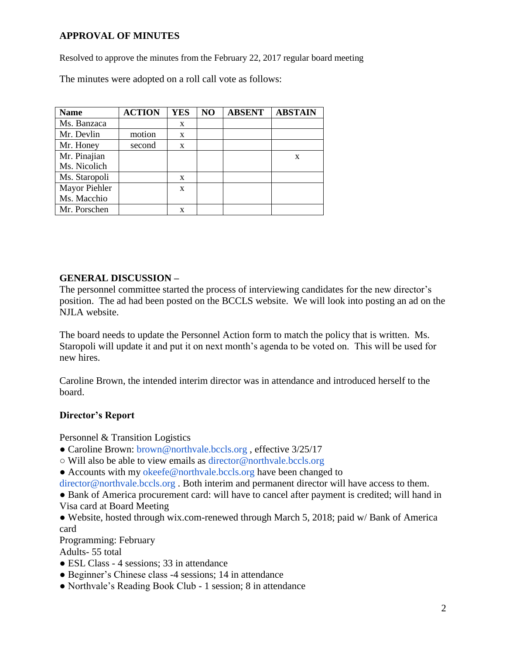# **APPROVAL OF MINUTES**

Resolved to approve the minutes from the February 22, 2017 regular board meeting

The minutes were adopted on a roll call vote as follows:

| <b>Name</b>   | <b>ACTION</b> | <b>YES</b> | NO | <b>ABSENT</b> | <b>ABSTAIN</b> |
|---------------|---------------|------------|----|---------------|----------------|
| Ms. Banzaca   |               | X          |    |               |                |
| Mr. Devlin    | motion        | X          |    |               |                |
| Mr. Honey     | second        | X          |    |               |                |
| Mr. Pinajian  |               |            |    |               | X              |
| Ms. Nicolich  |               |            |    |               |                |
| Ms. Staropoli |               | X          |    |               |                |
| Mayor Piehler |               | X          |    |               |                |
| Ms. Macchio   |               |            |    |               |                |
| Mr. Porschen  |               | X          |    |               |                |

## **GENERAL DISCUSSION –**

The personnel committee started the process of interviewing candidates for the new director's position. The ad had been posted on the BCCLS website. We will look into posting an ad on the NJLA website.

The board needs to update the Personnel Action form to match the policy that is written. Ms. Staropoli will update it and put it on next month's agenda to be voted on. This will be used for new hires.

Caroline Brown, the intended interim director was in attendance and introduced herself to the board.

## **Director's Report**

Personnel & Transition Logistics

- Caroline Brown: brown@northvale.bccls.org, effective 3/25/17
- Will also be able to view emails as director@northvale.bccls.org
- Accounts with my okeefe@northvale.bccls.org have been changed to

director@northvale.bccls.org. Both interim and permanent director will have access to them.

• Bank of America procurement card: will have to cancel after payment is credited; will hand in Visa card at Board Meeting

● Website, hosted through wix.com-renewed through March 5, 2018; paid w/ Bank of America card

Programming: February

Adults- 55 total

- ESL Class 4 sessions; 33 in attendance
- Beginner's Chinese class -4 sessions; 14 in attendance
- Northvale's Reading Book Club 1 session; 8 in attendance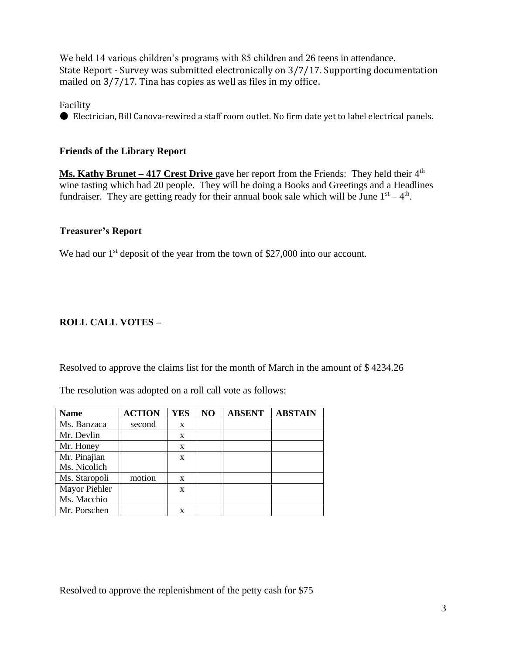We held 14 various children's programs with 85 children and 26 teens in attendance. State Report - Survey was submitted electronically on 3/7/17. Supporting documentation mailed on 3/7/17. Tina has copies as well as files in my office.

Facility

● Electrician, Bill Canova-rewired a staff room outlet. No firm date yet to label electrical panels.

# **Friends of the Library Report**

**Ms. Kathy Brunet – 417 Crest Drive** gave her report from the Friends: They held their 4<sup>th</sup> wine tasting which had 20 people. They will be doing a Books and Greetings and a Headlines fundraiser. They are getting ready for their annual book sale which will be June  $1<sup>st</sup> - 4<sup>th</sup>$ .

# **Treasurer's Report**

We had our  $1<sup>st</sup>$  deposit of the year from the town of \$27,000 into our account.

# **ROLL CALL VOTES –**

Resolved to approve the claims list for the month of March in the amount of \$ 4234.26

The resolution was adopted on a roll call vote as follows:

| <b>Name</b>   | <b>ACTION</b> | <b>YES</b> | NO | <b>ABSENT</b> | <b>ABSTAIN</b> |
|---------------|---------------|------------|----|---------------|----------------|
| Ms. Banzaca   | second        | X          |    |               |                |
| Mr. Devlin    |               | X          |    |               |                |
| Mr. Honey     |               | X          |    |               |                |
| Mr. Pinajian  |               | X          |    |               |                |
| Ms. Nicolich  |               |            |    |               |                |
| Ms. Staropoli | motion        | X          |    |               |                |
| Mayor Piehler |               | X          |    |               |                |
| Ms. Macchio   |               |            |    |               |                |
| Mr. Porschen  |               | X          |    |               |                |

Resolved to approve the replenishment of the petty cash for \$75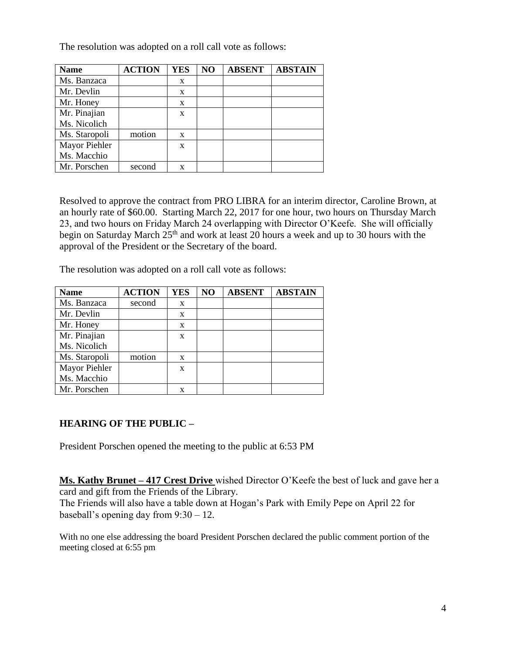The resolution was adopted on a roll call vote as follows:

| <b>Name</b>   | <b>ACTION</b> | <b>YES</b> | N <sub>O</sub> | <b>ABSENT</b> | <b>ABSTAIN</b> |
|---------------|---------------|------------|----------------|---------------|----------------|
| Ms. Banzaca   |               | X          |                |               |                |
| Mr. Devlin    |               | X          |                |               |                |
| Mr. Honey     |               | X          |                |               |                |
| Mr. Pinajian  |               | X          |                |               |                |
| Ms. Nicolich  |               |            |                |               |                |
| Ms. Staropoli | motion        | X          |                |               |                |
| Mayor Piehler |               | X          |                |               |                |
| Ms. Macchio   |               |            |                |               |                |
| Mr. Porschen  | second        | x          |                |               |                |

Resolved to approve the contract from PRO LIBRA for an interim director, Caroline Brown, at an hourly rate of \$60.00. Starting March 22, 2017 for one hour, two hours on Thursday March 23, and two hours on Friday March 24 overlapping with Director O'Keefe. She will officially begin on Saturday March  $25<sup>th</sup>$  and work at least 20 hours a week and up to 30 hours with the approval of the President or the Secretary of the board.

The resolution was adopted on a roll call vote as follows:

| <b>Name</b>   | <b>ACTION</b> | <b>YES</b> | NO | <b>ABSENT</b> | <b>ABSTAIN</b> |
|---------------|---------------|------------|----|---------------|----------------|
| Ms. Banzaca   | second        | X          |    |               |                |
| Mr. Devlin    |               | X          |    |               |                |
| Mr. Honey     |               | X          |    |               |                |
| Mr. Pinajian  |               | X          |    |               |                |
| Ms. Nicolich  |               |            |    |               |                |
| Ms. Staropoli | motion        | X          |    |               |                |
| Mayor Piehler |               | X          |    |               |                |
| Ms. Macchio   |               |            |    |               |                |
| Mr. Porschen  |               | x          |    |               |                |

## **HEARING OF THE PUBLIC –**

President Porschen opened the meeting to the public at 6:53 PM

**Ms. Kathy Brunet – 417 Crest Drive** wished Director O'Keefe the best of luck and gave her a card and gift from the Friends of the Library.

The Friends will also have a table down at Hogan's Park with Emily Pepe on April 22 for baseball's opening day from 9:30 – 12.

With no one else addressing the board President Porschen declared the public comment portion of the meeting closed at 6:55 pm